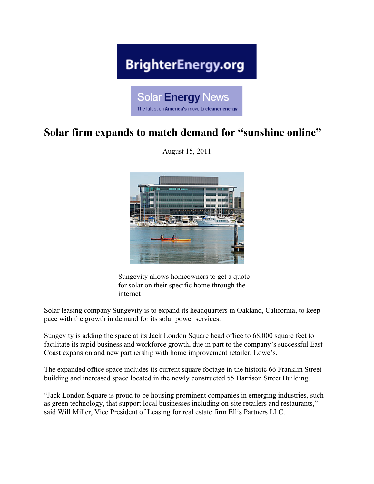## **BrighterEnergy.org**

**Solar Energy News** 

The latest on America's move to cleaner energy

## **Solar firm expands to match demand for "sunshine online"**

August 15, 2011



Sungevity allows homeowners to get a quote for solar on their specific home through the internet

Solar leasing company Sungevity is to expand its headquarters in Oakland, California, to keep pace with the growth in demand for its solar power services.

Sungevity is adding the space at its Jack London Square head office to 68,000 square feet to facilitate its rapid business and workforce growth, due in part to the company's successful East Coast expansion and new partnership with home improvement retailer, Lowe's.

The expanded office space includes its current square footage in the historic 66 Franklin Street building and increased space located in the newly constructed 55 Harrison Street Building.

"Jack London Square is proud to be housing prominent companies in emerging industries, such as green technology, that support local businesses including on-site retailers and restaurants," said Will Miller, Vice President of Leasing for real estate firm Ellis Partners LLC.